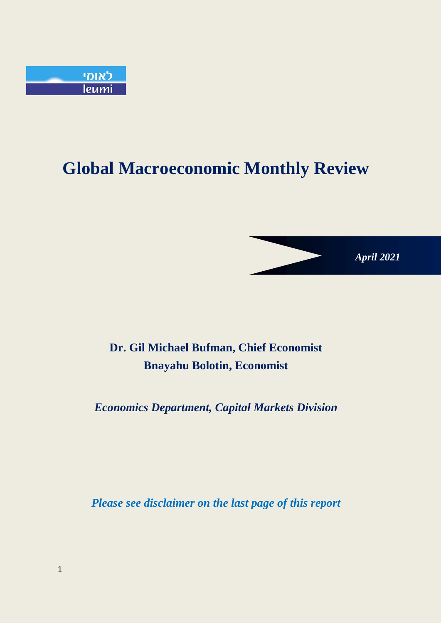

# **Global Macroeconomic Monthly Review**

*April 2021*

# **Dr. Gil Michael Bufman, Chief Economist Bnayahu Bolotin, Economist**

*Economics Department, Capital Markets Division*

*Please see disclaimer on the last page of this report*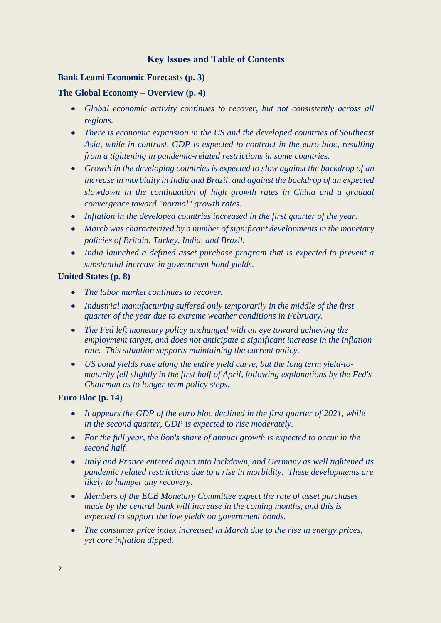### **Key Issues and Table of Contents**

#### **Bank Leumi Economic Forecasts (p. 3)**

#### **The Global Economy – Overview (p. 4)**

- *Global economic activity continues to recover, but not consistently across all regions.*
- *There is economic expansion in the US and the developed countries of Southeast Asia, while in contrast, GDP is expected to contract in the euro bloc, resulting from a tightening in pandemic-related restrictions in some countries.*
- *Growth in the developing countries is expected to slow against the backdrop of an increase in morbidity in India and Brazil, and against the backdrop of an expected slowdown in the continuation of high growth rates in China and a gradual convergence toward "normal" growth rates.*
- *Inflation in the developed countries increased in the first quarter of the year.*
- *March was characterized by a number of significant developments in the monetary policies of Britain, Turkey, India, and Brazil.*
- *India launched a defined asset purchase program that is expected to prevent a substantial increase in government bond yields.*

#### **United States (p. 8)**

- *The labor market continues to recover.*
- *Industrial manufacturing suffered only temporarily in the middle of the first quarter of the year due to extreme weather conditions in February.*
- *The Fed left monetary policy unchanged with an eye toward achieving the employment target, and does not anticipate a significant increase in the inflation rate. This situation supports maintaining the current policy.*
- *US bond yields rose along the entire yield curve, but the long term yield-tomaturity fell slightly in the first half of April, following explanations by the Fed's Chairman as to longer term policy steps.*

#### **Euro Bloc (p. 14)**

- *It appears the GDP of the euro bloc declined in the first quarter of 2021, while in the second quarter, GDP is expected to rise moderately.*
- *For the full year, the lion's share of annual growth is expected to occur in the second half.*
- *Italy and France entered again into lockdown, and Germany as well tightened its pandemic related restrictions due to a rise in morbidity. These developments are likely to hamper any recovery.*
- *Members of the ECB Monetary Committee expect the rate of asset purchases made by the central bank will increase in the coming months, and this is expected to support the low yields on government bonds.*
- *The consumer price index increased in March due to the rise in energy prices, yet core inflation dipped.*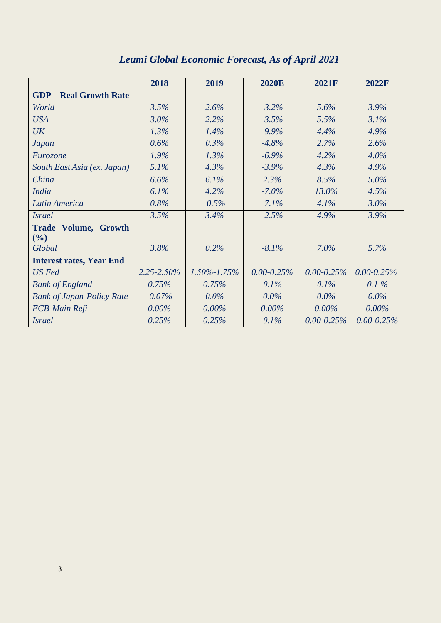|                                    | 2018            | 2019              | <b>2020E</b>    | <b>2021F</b>    | <b>2022F</b>    |
|------------------------------------|-----------------|-------------------|-----------------|-----------------|-----------------|
| <b>GDP</b> – Real Growth Rate      |                 |                   |                 |                 |                 |
| World                              | 3.5%            | 2.6%              | $-3.2\%$        | 5.6%            | 3.9%            |
| <b>USA</b>                         | 3.0%            | 2.2%              | $-3.5%$         | 5.5%            | 3.1%            |
| UK                                 | 1.3%            | 1.4%              | $-9.9\%$        | 4.4%            | 4.9%            |
| <b>Japan</b>                       | 0.6%            | 0.3%              | $-4.8%$         | 2.7%            | 2.6%            |
| Eurozone                           | 1.9%            | 1.3%              | $-6.9\%$        | 4.2%            | 4.0%            |
| South East Asia (ex. Japan)        | 5.1%            | 4.3%              | $-3.9%$         | 4.3%            | 4.9%            |
| China                              | 6.6%            | 6.1%              | 2.3%            | 8.5%            | 5.0%            |
| India                              | 6.1%            | 4.2%              | $-7.0\%$        | 13.0%           | 4.5%            |
| Latin America                      | 0.8%            | $-0.5%$           | $-7.1%$         | 4.1%            | 3.0%            |
| <i>Israel</i>                      | 3.5%            | 3.4%              | $-2.5%$         | 4.9%            | 3.9%            |
| <b>Trade Volume, Growth</b><br>(%) |                 |                   |                 |                 |                 |
| Global                             | 3.8%            | 0.2%              | $-8.1\%$        | 7.0%            | 5.7%            |
| <b>Interest rates, Year End</b>    |                 |                   |                 |                 |                 |
| US Fed                             | $2.25 - 2.50\%$ | $1.50\% - 1.75\%$ | $0.00 - 0.25\%$ | $0.00 - 0.25\%$ | $0.00 - 0.25\%$ |
| <b>Bank of England</b>             | 0.75%           | 0.75%             | $0.1\%$         | $0.1\%$         | $0.1\%$         |
| <b>Bank of Japan-Policy Rate</b>   | $-0.07\%$       | $0.0\%$           | $0.0\%$         | $0.0\%$         | $0.0\%$         |
| <b>ECB-Main Refi</b>               | $0.00\%$        | $0.00\%$          | $0.00\%$        | $0.00\%$        | $0.00\%$        |
| <i>Israel</i>                      | 0.25%           | 0.25%             | 0.1%            | $0.00 - 0.25\%$ | $0.00 - 0.25\%$ |

## *Leumi Global Economic Forecast, As of April 2021*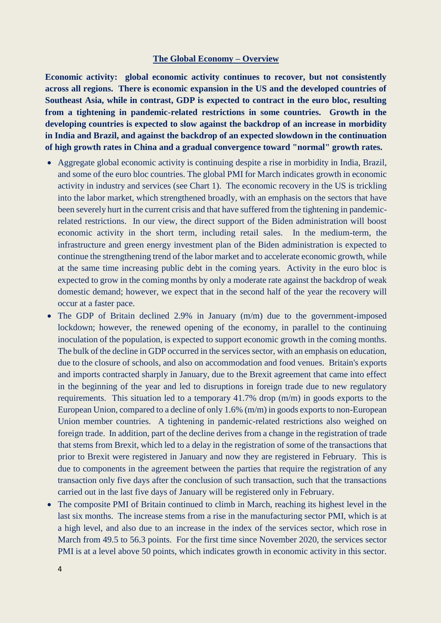#### **The Global Economy – Overview**

**Economic activity: global economic activity continues to recover, but not consistently across all regions. There is economic expansion in the US and the developed countries of Southeast Asia, while in contrast, GDP is expected to contract in the euro bloc, resulting from a tightening in pandemic-related restrictions in some countries. Growth in the developing countries is expected to slow against the backdrop of an increase in morbidity in India and Brazil, and against the backdrop of an expected slowdown in the continuation of high growth rates in China and a gradual convergence toward "normal" growth rates.**

- Aggregate global economic activity is continuing despite a rise in morbidity in India, Brazil, and some of the euro bloc countries. The global PMI for March indicates growth in economic activity in industry and services (see Chart 1). The economic recovery in the US is trickling into the labor market, which strengthened broadly, with an emphasis on the sectors that have been severely hurt in the current crisis and that have suffered from the tightening in pandemicrelated restrictions. In our view, the direct support of the Biden administration will boost economic activity in the short term, including retail sales. In the medium-term, the infrastructure and green energy investment plan of the Biden administration is expected to continue the strengthening trend of the labor market and to accelerate economic growth, while at the same time increasing public debt in the coming years. Activity in the euro bloc is expected to grow in the coming months by only a moderate rate against the backdrop of weak domestic demand; however, we expect that in the second half of the year the recovery will occur at a faster pace.
- The GDP of Britain declined 2.9% in January (m/m) due to the government-imposed lockdown; however, the renewed opening of the economy, in parallel to the continuing inoculation of the population, is expected to support economic growth in the coming months. The bulk of the decline in GDP occurred in the services sector, with an emphasis on education, due to the closure of schools, and also on accommodation and food venues. Britain's exports and imports contracted sharply in January, due to the Brexit agreement that came into effect in the beginning of the year and led to disruptions in foreign trade due to new regulatory requirements. This situation led to a temporary 41.7% drop (m/m) in goods exports to the European Union, compared to a decline of only 1.6% (m/m) in goods exports to non-European Union member countries. A tightening in pandemic-related restrictions also weighed on foreign trade. In addition, part of the decline derives from a change in the registration of trade that stems from Brexit, which led to a delay in the registration of some of the transactions that prior to Brexit were registered in January and now they are registered in February. This is due to components in the agreement between the parties that require the registration of any transaction only five days after the conclusion of such transaction, such that the transactions carried out in the last five days of January will be registered only in February.
- The composite PMI of Britain continued to climb in March, reaching its highest level in the last six months. The increase stems from a rise in the manufacturing sector PMI, which is at a high level, and also due to an increase in the index of the services sector, which rose in March from 49.5 to 56.3 points. For the first time since November 2020, the services sector PMI is at a level above 50 points, which indicates growth in economic activity in this sector.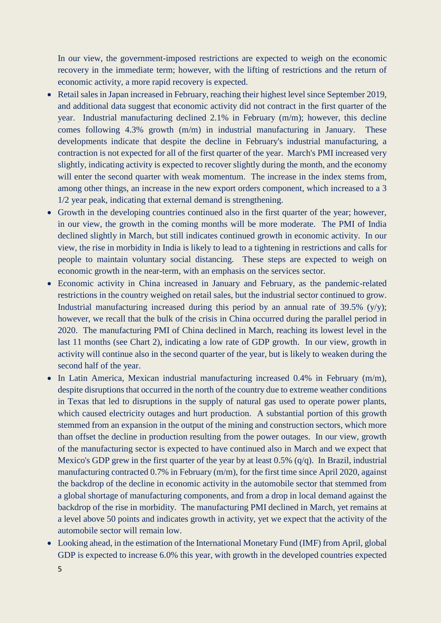In our view, the government-imposed restrictions are expected to weigh on the economic recovery in the immediate term; however, with the lifting of restrictions and the return of economic activity, a more rapid recovery is expected.

- Retail sales in Japan increased in February, reaching their highest level since September 2019, and additional data suggest that economic activity did not contract in the first quarter of the year. Industrial manufacturing declined 2.1% in February (m/m); however, this decline comes following 4.3% growth (m/m) in industrial manufacturing in January. These developments indicate that despite the decline in February's industrial manufacturing, a contraction is not expected for all of the first quarter of the year. March's PMI increased very slightly, indicating activity is expected to recover slightly during the month, and the economy will enter the second quarter with weak momentum. The increase in the index stems from, among other things, an increase in the new export orders component, which increased to a 3 1/2 year peak, indicating that external demand is strengthening.
- Growth in the developing countries continued also in the first quarter of the year; however, in our view, the growth in the coming months will be more moderate. The PMI of India declined slightly in March, but still indicates continued growth in economic activity. In our view, the rise in morbidity in India is likely to lead to a tightening in restrictions and calls for people to maintain voluntary social distancing. These steps are expected to weigh on economic growth in the near-term, with an emphasis on the services sector.
- Economic activity in China increased in January and February, as the pandemic-related restrictions in the country weighed on retail sales, but the industrial sector continued to grow. Industrial manufacturing increased during this period by an annual rate of  $39.5\%$  (y/y); however, we recall that the bulk of the crisis in China occurred during the parallel period in 2020. The manufacturing PMI of China declined in March, reaching its lowest level in the last 11 months (see Chart 2), indicating a low rate of GDP growth. In our view, growth in activity will continue also in the second quarter of the year, but is likely to weaken during the second half of the year.
- In Latin America, Mexican industrial manufacturing increased 0.4% in February (m/m), despite disruptions that occurred in the north of the country due to extreme weather conditions in Texas that led to disruptions in the supply of natural gas used to operate power plants, which caused electricity outages and hurt production. A substantial portion of this growth stemmed from an expansion in the output of the mining and construction sectors, which more than offset the decline in production resulting from the power outages. In our view, growth of the manufacturing sector is expected to have continued also in March and we expect that Mexico's GDP grew in the first quarter of the year by at least  $0.5\%$  (q/q). In Brazil, industrial manufacturing contracted 0.7% in February (m/m), for the first time since April 2020, against the backdrop of the decline in economic activity in the automobile sector that stemmed from a global shortage of manufacturing components, and from a drop in local demand against the backdrop of the rise in morbidity. The manufacturing PMI declined in March, yet remains at a level above 50 points and indicates growth in activity, yet we expect that the activity of the automobile sector will remain low.
- Looking ahead, in the estimation of the International Monetary Fund (IMF) from April, global GDP is expected to increase 6.0% this year, with growth in the developed countries expected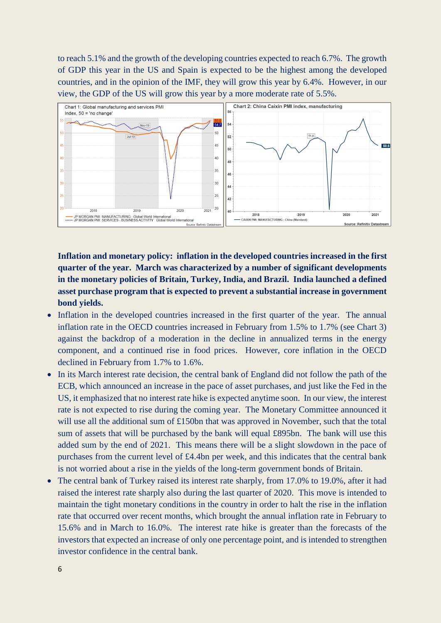to reach 5.1% and the growth of the developing countries expected to reach 6.7%. The growth of GDP this year in the US and Spain is expected to be the highest among the developed countries, and in the opinion of the IMF, they will grow this year by 6.4%. However, in our view, the GDP of the US will grow this year by a more moderate rate of 5.5%.



**Inflation and monetary policy: inflation in the developed countries increased in the first quarter of the year. March was characterized by a number of significant developments in the monetary policies of Britain, Turkey, India, and Brazil. India launched a defined asset purchase program that is expected to prevent a substantial increase in government bond yields.**

- Inflation in the developed countries increased in the first quarter of the year. The annual inflation rate in the OECD countries increased in February from 1.5% to 1.7% (see Chart 3) against the backdrop of a moderation in the decline in annualized terms in the energy component, and a continued rise in food prices. However, core inflation in the OECD declined in February from 1.7% to 1.6%.
- In its March interest rate decision, the central bank of England did not follow the path of the ECB, which announced an increase in the pace of asset purchases, and just like the Fed in the US, it emphasized that no interest rate hike is expected anytime soon. In our view, the interest rate is not expected to rise during the coming year. The Monetary Committee announced it will use all the additional sum of £150bn that was approved in November, such that the total sum of assets that will be purchased by the bank will equal £895bn. The bank will use this added sum by the end of 2021. This means there will be a slight slowdown in the pace of purchases from the current level of £4.4bn per week, and this indicates that the central bank is not worried about a rise in the yields of the long-term government bonds of Britain.
- The central bank of Turkey raised its interest rate sharply, from 17.0% to 19.0%, after it had raised the interest rate sharply also during the last quarter of 2020. This move is intended to maintain the tight monetary conditions in the country in order to halt the rise in the inflation rate that occurred over recent months, which brought the annual inflation rate in February to 15.6% and in March to 16.0%. The interest rate hike is greater than the forecasts of the investors that expected an increase of only one percentage point, and is intended to strengthen investor confidence in the central bank.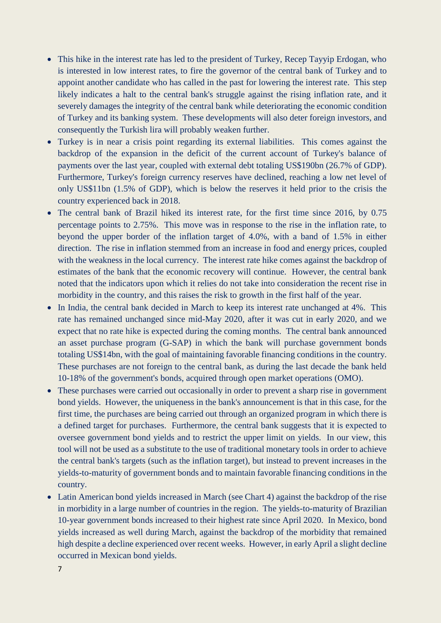- This hike in the interest rate has led to the president of Turkey, Recep Tayyip Erdogan, who is interested in low interest rates, to fire the governor of the central bank of Turkey and to appoint another candidate who has called in the past for lowering the interest rate. This step likely indicates a halt to the central bank's struggle against the rising inflation rate, and it severely damages the integrity of the central bank while deteriorating the economic condition of Turkey and its banking system. These developments will also deter foreign investors, and consequently the Turkish lira will probably weaken further.
- Turkey is in near a crisis point regarding its external liabilities. This comes against the backdrop of the expansion in the deficit of the current account of Turkey's balance of payments over the last year, coupled with external debt totaling US\$190bn (26.7% of GDP). Furthermore, Turkey's foreign currency reserves have declined, reaching a low net level of only US\$11bn (1.5% of GDP), which is below the reserves it held prior to the crisis the country experienced back in 2018.
- The central bank of Brazil hiked its interest rate, for the first time since 2016, by 0.75 percentage points to 2.75%. This move was in response to the rise in the inflation rate, to beyond the upper border of the inflation target of 4.0%, with a band of 1.5% in either direction. The rise in inflation stemmed from an increase in food and energy prices, coupled with the weakness in the local currency. The interest rate hike comes against the backdrop of estimates of the bank that the economic recovery will continue. However, the central bank noted that the indicators upon which it relies do not take into consideration the recent rise in morbidity in the country, and this raises the risk to growth in the first half of the year.
- In India, the central bank decided in March to keep its interest rate unchanged at 4%. This rate has remained unchanged since mid-May 2020, after it was cut in early 2020, and we expect that no rate hike is expected during the coming months. The central bank announced an asset purchase program (G-SAP) in which the bank will purchase government bonds totaling US\$14bn, with the goal of maintaining favorable financing conditions in the country. These purchases are not foreign to the central bank, as during the last decade the bank held 10-18% of the government's bonds, acquired through open market operations (OMO).
- These purchases were carried out occasionally in order to prevent a sharp rise in government bond yields. However, the uniqueness in the bank's announcement is that in this case, for the first time, the purchases are being carried out through an organized program in which there is a defined target for purchases. Furthermore, the central bank suggests that it is expected to oversee government bond yields and to restrict the upper limit on yields. In our view, this tool will not be used as a substitute to the use of traditional monetary tools in order to achieve the central bank's targets (such as the inflation target), but instead to prevent increases in the yields-to-maturity of government bonds and to maintain favorable financing conditions in the country.
- Latin American bond yields increased in March (see Chart 4) against the backdrop of the rise in morbidity in a large number of countries in the region. The yields-to-maturity of Brazilian 10-year government bonds increased to their highest rate since April 2020. In Mexico, bond yields increased as well during March, against the backdrop of the morbidity that remained high despite a decline experienced over recent weeks. However, in early April a slight decline occurred in Mexican bond yields.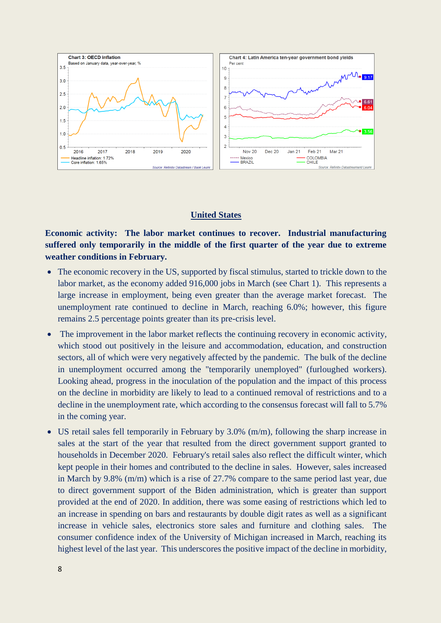

#### **United States**

**Economic activity: The labor market continues to recover. Industrial manufacturing suffered only temporarily in the middle of the first quarter of the year due to extreme weather conditions in February.**

- The economic recovery in the US, supported by fiscal stimulus, started to trickle down to the labor market, as the economy added 916,000 jobs in March (see Chart 1). This represents a large increase in employment, being even greater than the average market forecast. The unemployment rate continued to decline in March, reaching 6.0%; however, this figure remains 2.5 percentage points greater than its pre-crisis level.
- The improvement in the labor market reflects the continuing recovery in economic activity, which stood out positively in the leisure and accommodation, education, and construction sectors, all of which were very negatively affected by the pandemic. The bulk of the decline in unemployment occurred among the "temporarily unemployed" (furloughed workers). Looking ahead, progress in the inoculation of the population and the impact of this process on the decline in morbidity are likely to lead to a continued removal of restrictions and to a decline in the unemployment rate, which according to the consensus forecast will fall to 5.7% in the coming year.
- US retail sales fell temporarily in February by 3.0% (m/m), following the sharp increase in sales at the start of the year that resulted from the direct government support granted to households in December 2020. February's retail sales also reflect the difficult winter, which kept people in their homes and contributed to the decline in sales. However, sales increased in March by 9.8% (m/m) which is a rise of 27.7% compare to the same period last year, due to direct government support of the Biden administration, which is greater than support provided at the end of 2020. In addition, there was some easing of restrictions which led to an increase in spending on bars and restaurants by double digit rates as well as a significant increase in vehicle sales, electronics store sales and furniture and clothing sales. The consumer confidence index of the University of Michigan increased in March, reaching its highest level of the last year. This underscores the positive impact of the decline in morbidity,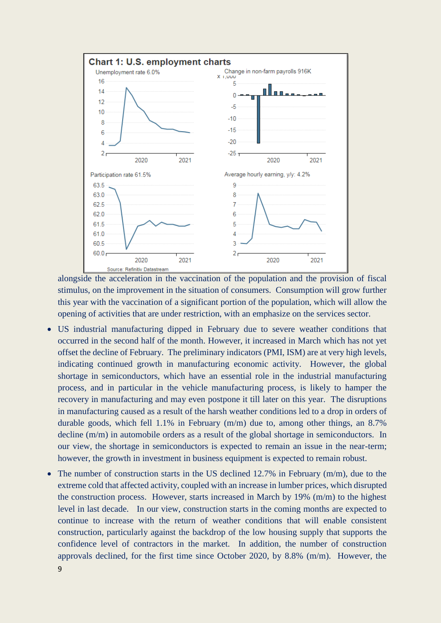

alongside the acceleration in the vaccination of the population and the provision of fiscal stimulus, on the improvement in the situation of consumers. Consumption will grow further this year with the vaccination of a significant portion of the population, which will allow the opening of activities that are under restriction, with an emphasize on the services sector.

- US industrial manufacturing dipped in February due to severe weather conditions that occurred in the second half of the month. However, it increased in March which has not yet offset the decline of February. The preliminary indicators (PMI, ISM) are at very high levels, indicating continued growth in manufacturing economic activity. However, the global shortage in semiconductors, which have an essential role in the industrial manufacturing process, and in particular in the vehicle manufacturing process, is likely to hamper the recovery in manufacturing and may even postpone it till later on this year. The disruptions in manufacturing caused as a result of the harsh weather conditions led to a drop in orders of durable goods, which fell 1.1% in February (m/m) due to, among other things, an 8.7% decline (m/m) in automobile orders as a result of the global shortage in semiconductors. In our view, the shortage in semiconductors is expected to remain an issue in the near-term; however, the growth in investment in business equipment is expected to remain robust.
- The number of construction starts in the US declined 12.7% in February  $(m/m)$ , due to the extreme cold that affected activity, coupled with an increase in lumber prices, which disrupted the construction process. However, starts increased in March by 19% (m/m) to the highest level in last decade. In our view, construction starts in the coming months are expected to continue to increase with the return of weather conditions that will enable consistent construction, particularly against the backdrop of the low housing supply that supports the confidence level of contractors in the market. In addition, the number of construction approvals declined, for the first time since October 2020, by 8.8% (m/m). However, the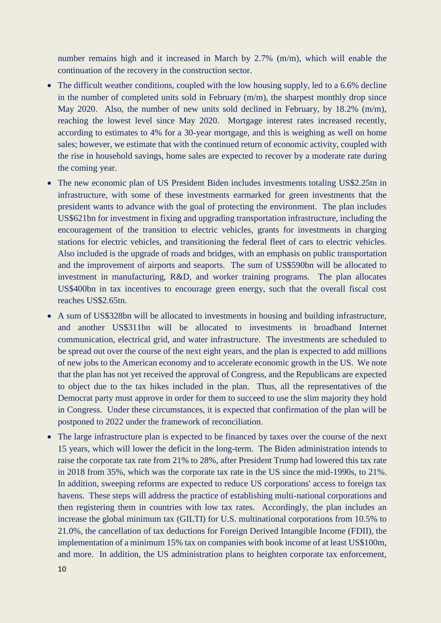number remains high and it increased in March by 2.7% (m/m), which will enable the continuation of the recovery in the construction sector.

- The difficult weather conditions, coupled with the low housing supply, led to a 6.6% decline in the number of completed units sold in February (m/m), the sharpest monthly drop since May 2020. Also, the number of new units sold declined in February, by 18.2% (m/m), reaching the lowest level since May 2020. Mortgage interest rates increased recently, according to estimates to 4% for a 30-year mortgage, and this is weighing as well on home sales; however, we estimate that with the continued return of economic activity, coupled with the rise in household savings, home sales are expected to recover by a moderate rate during the coming year.
- The new economic plan of US President Biden includes investments totaling US\$2.25tn in infrastructure, with some of these investments earmarked for green investments that the president wants to advance with the goal of protecting the environment. The plan includes US\$621bn for investment in fixing and upgrading transportation infrastructure, including the encouragement of the transition to electric vehicles, grants for investments in charging stations for electric vehicles, and transitioning the federal fleet of cars to electric vehicles. Also included is the upgrade of roads and bridges, with an emphasis on public transportation and the improvement of airports and seaports. The sum of US\$590bn will be allocated to investment in manufacturing, R&D, and worker training programs. The plan allocates US\$400bn in tax incentives to encourage green energy, such that the overall fiscal cost reaches US\$2.65tn.
- A sum of US\$328bn will be allocated to investments in housing and building infrastructure, and another US\$311bn will be allocated to investments in broadband Internet communication, electrical grid, and water infrastructure. The investments are scheduled to be spread out over the course of the next eight years, and the plan is expected to add millions of new jobs to the American economy and to accelerate economic growth in the US. We note that the plan has not yet received the approval of Congress, and the Republicans are expected to object due to the tax hikes included in the plan. Thus, all the representatives of the Democrat party must approve in order for them to succeed to use the slim majority they hold in Congress. Under these circumstances, it is expected that confirmation of the plan will be postponed to 2022 under the framework of reconciliation.
- The large infrastructure plan is expected to be financed by taxes over the course of the next 15 years, which will lower the deficit in the long-term. The Biden administration intends to raise the corporate tax rate from 21% to 28%, after President Trump had lowered this tax rate in 2018 from 35%, which was the corporate tax rate in the US since the mid-1990s, to 21%. In addition, sweeping reforms are expected to reduce US corporations' access to foreign tax havens. These steps will address the practice of establishing multi-national corporations and then registering them in countries with low tax rates. Accordingly, the plan includes an increase the global minimum tax (GILTI) for U.S. multinational corporations from 10.5% to 21.0%, the cancellation of tax deductions for Foreign Derived Intangible Income (FDII), the implementation of a minimum 15% tax on companies with book income of at least US\$100m, and more. In addition, the US administration plans to heighten corporate tax enforcement,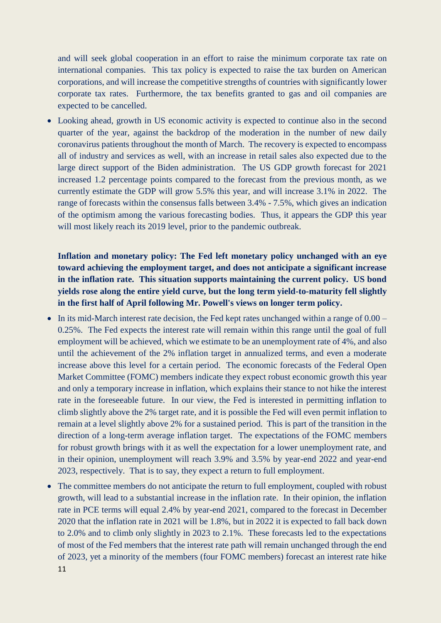and will seek global cooperation in an effort to raise the minimum corporate tax rate on international companies. This tax policy is expected to raise the tax burden on American corporations, and will increase the competitive strengths of countries with significantly lower corporate tax rates. Furthermore, the tax benefits granted to gas and oil companies are expected to be cancelled.

• Looking ahead, growth in US economic activity is expected to continue also in the second quarter of the year, against the backdrop of the moderation in the number of new daily coronavirus patients throughout the month of March. The recovery is expected to encompass all of industry and services as well, with an increase in retail sales also expected due to the large direct support of the Biden administration. The US GDP growth forecast for 2021 increased 1.2 percentage points compared to the forecast from the previous month, as we currently estimate the GDP will grow 5.5% this year, and will increase 3.1% in 2022. The range of forecasts within the consensus falls between 3.4% - 7.5%, which gives an indication of the optimism among the various forecasting bodies. Thus, it appears the GDP this year will most likely reach its 2019 level, prior to the pandemic outbreak.

**Inflation and monetary policy: The Fed left monetary policy unchanged with an eye toward achieving the employment target, and does not anticipate a significant increase in the inflation rate. This situation supports maintaining the current policy. US bond yields rose along the entire yield curve, but the long term yield-to-maturity fell slightly in the first half of April following Mr. Powell's views on longer term policy.**

- $\bullet$  In its mid-March interest rate decision, the Fed kept rates unchanged within a range of 0.00 0.25%. The Fed expects the interest rate will remain within this range until the goal of full employment will be achieved, which we estimate to be an unemployment rate of 4%, and also until the achievement of the 2% inflation target in annualized terms, and even a moderate increase above this level for a certain period. The economic forecasts of the Federal Open Market Committee (FOMC) members indicate they expect robust economic growth this year and only a temporary increase in inflation, which explains their stance to not hike the interest rate in the foreseeable future. In our view, the Fed is interested in permitting inflation to climb slightly above the 2% target rate, and it is possible the Fed will even permit inflation to remain at a level slightly above 2% for a sustained period. This is part of the transition in the direction of a long-term average inflation target. The expectations of the FOMC members for robust growth brings with it as well the expectation for a lower unemployment rate, and in their opinion, unemployment will reach 3.9% and 3.5% by year-end 2022 and year-end 2023, respectively. That is to say, they expect a return to full employment.
- 11 • The committee members do not anticipate the return to full employment, coupled with robust growth, will lead to a substantial increase in the inflation rate. In their opinion, the inflation rate in PCE terms will equal 2.4% by year-end 2021, compared to the forecast in December 2020 that the inflation rate in 2021 will be 1.8%, but in 2022 it is expected to fall back down to 2.0% and to climb only slightly in 2023 to 2.1%. These forecasts led to the expectations of most of the Fed members that the interest rate path will remain unchanged through the end of 2023, yet a minority of the members (four FOMC members) forecast an interest rate hike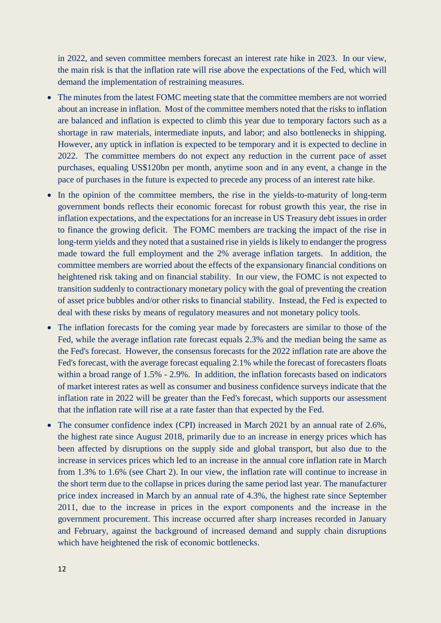in 2022, and seven committee members forecast an interest rate hike in 2023. In our view, the main risk is that the inflation rate will rise above the expectations of the Fed, which will demand the implementation of restraining measures.

- The minutes from the latest FOMC meeting state that the committee members are not worried about an increase in inflation. Most of the committee members noted that the risks to inflation are balanced and inflation is expected to climb this year due to temporary factors such as a shortage in raw materials, intermediate inputs, and labor; and also bottlenecks in shipping. However, any uptick in inflation is expected to be temporary and it is expected to decline in 2022. The committee members do not expect any reduction in the current pace of asset purchases, equaling US\$120bn per month, anytime soon and in any event, a change in the pace of purchases in the future is expected to precede any process of an interest rate hike.
- In the opinion of the committee members, the rise in the yields-to-maturity of long-term government bonds reflects their economic forecast for robust growth this year, the rise in inflation expectations, and the expectations for an increase in US Treasury debt issues in order to finance the growing deficit. The FOMC members are tracking the impact of the rise in long-term yields and they noted that a sustained rise in yields is likely to endanger the progress made toward the full employment and the 2% average inflation targets. In addition, the committee members are worried about the effects of the expansionary financial conditions on heightened risk taking and on financial stability. In our view, the FOMC is not expected to transition suddenly to contractionary monetary policy with the goal of preventing the creation of asset price bubbles and/or other risks to financial stability. Instead, the Fed is expected to deal with these risks by means of regulatory measures and not monetary policy tools.
- The inflation forecasts for the coming year made by forecasters are similar to those of the Fed, while the average inflation rate forecast equals 2.3% and the median being the same as the Fed's forecast. However, the consensus forecasts for the 2022 inflation rate are above the Fed's forecast, with the average forecast equaling 2.1% while the forecast of forecasters floats within a broad range of 1.5% - 2.9%. In addition, the inflation forecasts based on indicators of market interest rates as well as consumer and business confidence surveys indicate that the inflation rate in 2022 will be greater than the Fed's forecast, which supports our assessment that the inflation rate will rise at a rate faster than that expected by the Fed.
- The consumer confidence index (CPI) increased in March 2021 by an annual rate of 2.6%, the highest rate since August 2018, primarily due to an increase in energy prices which has been affected by disruptions on the supply side and global transport, but also due to the increase in services prices which led to an increase in the annual core inflation rate in March from 1.3% to 1.6% (see Chart 2). In our view, the inflation rate will continue to increase in the short term due to the collapse in prices during the same period last year. The manufacturer price index increased in March by an annual rate of 4.3%, the highest rate since September 2011, due to the increase in prices in the export components and the increase in the government procurement. This increase occurred after sharp increases recorded in January and February, against the background of increased demand and supply chain disruptions which have heightened the risk of economic bottlenecks.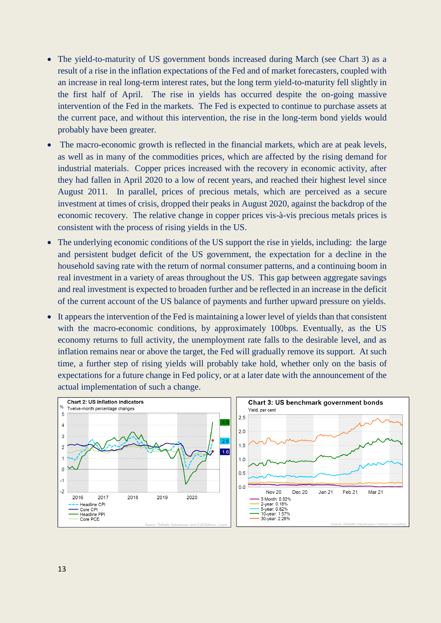- The yield-to-maturity of US government bonds increased during March (see Chart 3) as a result of a rise in the inflation expectations of the Fed and of market forecasters, coupled with an increase in real long-term interest rates, but the long term yield-to-maturity fell slightly in the first half of April. The rise in yields has occurred despite the on-going massive intervention of the Fed in the markets. The Fed is expected to continue to purchase assets at the current pace, and without this intervention, the rise in the long-term bond yields would probably have been greater.
- The macro-economic growth is reflected in the financial markets, which are at peak levels, as well as in many of the commodities prices, which are affected by the rising demand for industrial materials. Copper prices increased with the recovery in economic activity, after they had fallen in April 2020 to a low of recent years, and reached their highest level since August 2011. In parallel, prices of precious metals, which are perceived as a secure investment at times of crisis, dropped their peaks in August 2020, against the backdrop of the economic recovery. The relative change in copper prices vis-à-vis precious metals prices is consistent with the process of rising yields in the US.
- The underlying economic conditions of the US support the rise in yields, including: the large and persistent budget deficit of the US government, the expectation for a decline in the household saving rate with the return of normal consumer patterns, and a continuing boom in real investment in a variety of areas throughout the US. This gap between aggregate savings and real investment is expected to broaden further and be reflected in an increase in the deficit of the current account of the US balance of payments and further upward pressure on yields.
- It appears the intervention of the Fed is maintaining a lower level of yields than that consistent with the macro-economic conditions, by approximately 100bps. Eventually, as the US economy returns to full activity, the unemployment rate falls to the desirable level, and as inflation remains near or above the target, the Fed will gradually remove its support. At such time, a further step of rising yields will probably take hold, whether only on the basis of expectations for a future change in Fed policy, or at a later date with the announcement of the actual implementation of such a change.

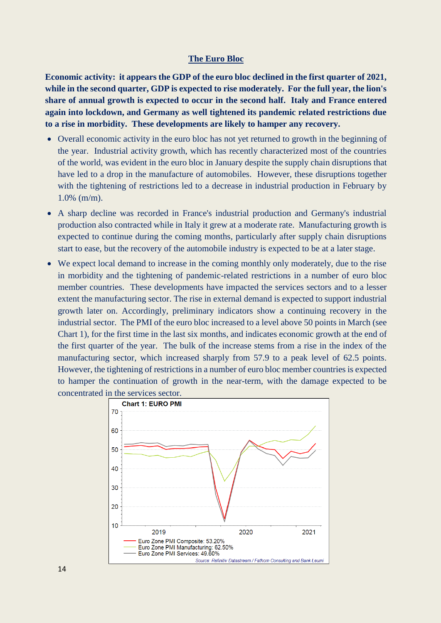#### **The Euro Bloc**

**Economic activity: it appears the GDP of the euro bloc declined in the first quarter of 2021, while in the second quarter, GDP is expected to rise moderately. For the full year, the lion's share of annual growth is expected to occur in the second half. Italy and France entered again into lockdown, and Germany as well tightened its pandemic related restrictions due to a rise in morbidity. These developments are likely to hamper any recovery.**

- Overall economic activity in the euro bloc has not yet returned to growth in the beginning of the year. Industrial activity growth, which has recently characterized most of the countries of the world, was evident in the euro bloc in January despite the supply chain disruptions that have led to a drop in the manufacture of automobiles. However, these disruptions together with the tightening of restrictions led to a decrease in industrial production in February by 1.0% (m/m).
- A sharp decline was recorded in France's industrial production and Germany's industrial production also contracted while in Italy it grew at a moderate rate. Manufacturing growth is expected to continue during the coming months, particularly after supply chain disruptions start to ease, but the recovery of the automobile industry is expected to be at a later stage.
- We expect local demand to increase in the coming monthly only moderately, due to the rise in morbidity and the tightening of pandemic-related restrictions in a number of euro bloc member countries. These developments have impacted the services sectors and to a lesser extent the manufacturing sector. The rise in external demand is expected to support industrial growth later on. Accordingly, preliminary indicators show a continuing recovery in the industrial sector. The PMI of the euro bloc increased to a level above 50 points in March (see Chart 1), for the first time in the last six months, and indicates economic growth at the end of the first quarter of the year. The bulk of the increase stems from a rise in the index of the manufacturing sector, which increased sharply from 57.9 to a peak level of 62.5 points. However, the tightening of restrictions in a number of euro bloc member countries is expected to hamper the continuation of growth in the near-term, with the damage expected to be concentrated in the services sector.

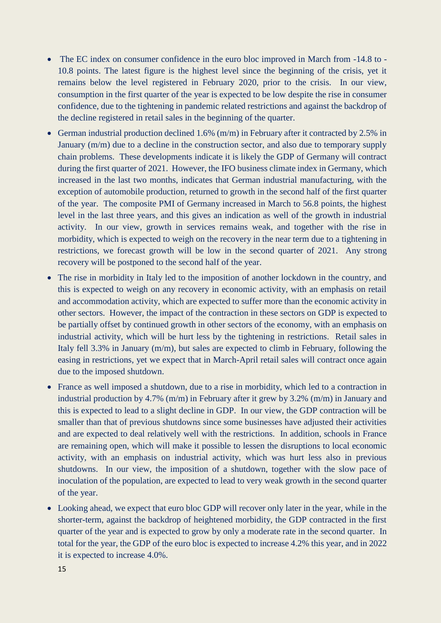- The EC index on consumer confidence in the euro bloc improved in March from -14.8 to -10.8 points. The latest figure is the highest level since the beginning of the crisis, yet it remains below the level registered in February 2020, prior to the crisis. In our view, consumption in the first quarter of the year is expected to be low despite the rise in consumer confidence, due to the tightening in pandemic related restrictions and against the backdrop of the decline registered in retail sales in the beginning of the quarter.
- German industrial production declined 1.6%  $(m/m)$  in February after it contracted by 2.5% in January (m/m) due to a decline in the construction sector, and also due to temporary supply chain problems. These developments indicate it is likely the GDP of Germany will contract during the first quarter of 2021. However, the IFO business climate index in Germany, which increased in the last two months, indicates that German industrial manufacturing, with the exception of automobile production, returned to growth in the second half of the first quarter of the year. The composite PMI of Germany increased in March to 56.8 points, the highest level in the last three years, and this gives an indication as well of the growth in industrial activity. In our view, growth in services remains weak, and together with the rise in morbidity, which is expected to weigh on the recovery in the near term due to a tightening in restrictions, we forecast growth will be low in the second quarter of 2021. Any strong recovery will be postponed to the second half of the year.
- The rise in morbidity in Italy led to the imposition of another lockdown in the country, and this is expected to weigh on any recovery in economic activity, with an emphasis on retail and accommodation activity, which are expected to suffer more than the economic activity in other sectors. However, the impact of the contraction in these sectors on GDP is expected to be partially offset by continued growth in other sectors of the economy, with an emphasis on industrial activity, which will be hurt less by the tightening in restrictions. Retail sales in Italy fell 3.3% in January (m/m), but sales are expected to climb in February, following the easing in restrictions, yet we expect that in March-April retail sales will contract once again due to the imposed shutdown.
- France as well imposed a shutdown, due to a rise in morbidity, which led to a contraction in industrial production by 4.7% (m/m) in February after it grew by 3.2% (m/m) in January and this is expected to lead to a slight decline in GDP. In our view, the GDP contraction will be smaller than that of previous shutdowns since some businesses have adjusted their activities and are expected to deal relatively well with the restrictions. In addition, schools in France are remaining open, which will make it possible to lessen the disruptions to local economic activity, with an emphasis on industrial activity, which was hurt less also in previous shutdowns. In our view, the imposition of a shutdown, together with the slow pace of inoculation of the population, are expected to lead to very weak growth in the second quarter of the year.
- Looking ahead, we expect that euro bloc GDP will recover only later in the year, while in the shorter-term, against the backdrop of heightened morbidity, the GDP contracted in the first quarter of the year and is expected to grow by only a moderate rate in the second quarter. In total for the year, the GDP of the euro bloc is expected to increase 4.2% this year, and in 2022 it is expected to increase 4.0%.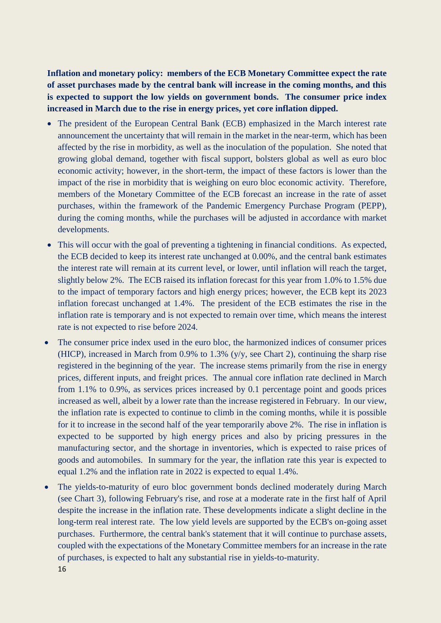**Inflation and monetary policy: members of the ECB Monetary Committee expect the rate of asset purchases made by the central bank will increase in the coming months, and this is expected to support the low yields on government bonds. The consumer price index increased in March due to the rise in energy prices, yet core inflation dipped.**

- The president of the European Central Bank (ECB) emphasized in the March interest rate announcement the uncertainty that will remain in the market in the near-term, which has been affected by the rise in morbidity, as well as the inoculation of the population. She noted that growing global demand, together with fiscal support, bolsters global as well as euro bloc economic activity; however, in the short-term, the impact of these factors is lower than the impact of the rise in morbidity that is weighing on euro bloc economic activity. Therefore, members of the Monetary Committee of the ECB forecast an increase in the rate of asset purchases, within the framework of the Pandemic Emergency Purchase Program (PEPP), during the coming months, while the purchases will be adjusted in accordance with market developments.
- This will occur with the goal of preventing a tightening in financial conditions. As expected, the ECB decided to keep its interest rate unchanged at 0.00%, and the central bank estimates the interest rate will remain at its current level, or lower, until inflation will reach the target, slightly below 2%. The ECB raised its inflation forecast for this year from 1.0% to 1.5% due to the impact of temporary factors and high energy prices; however, the ECB kept its 2023 inflation forecast unchanged at 1.4%. The president of the ECB estimates the rise in the inflation rate is temporary and is not expected to remain over time, which means the interest rate is not expected to rise before 2024.
- The consumer price index used in the euro bloc, the harmonized indices of consumer prices (HICP), increased in March from 0.9% to 1.3% (y/y, see Chart 2), continuing the sharp rise registered in the beginning of the year. The increase stems primarily from the rise in energy prices, different inputs, and freight prices. The annual core inflation rate declined in March from 1.1% to 0.9%, as services prices increased by 0.1 percentage point and goods prices increased as well, albeit by a lower rate than the increase registered in February. In our view, the inflation rate is expected to continue to climb in the coming months, while it is possible for it to increase in the second half of the year temporarily above 2%. The rise in inflation is expected to be supported by high energy prices and also by pricing pressures in the manufacturing sector, and the shortage in inventories, which is expected to raise prices of goods and automobiles. In summary for the year, the inflation rate this year is expected to equal 1.2% and the inflation rate in 2022 is expected to equal 1.4%.
- 16 • The yields-to-maturity of euro bloc government bonds declined moderately during March (see Chart 3), following February's rise, and rose at a moderate rate in the first half of April despite the increase in the inflation rate. These developments indicate a slight decline in the long-term real interest rate. The low yield levels are supported by the ECB's on-going asset purchases. Furthermore, the central bank's statement that it will continue to purchase assets, coupled with the expectations of the Monetary Committee members for an increase in the rate of purchases, is expected to halt any substantial rise in yields-to-maturity.